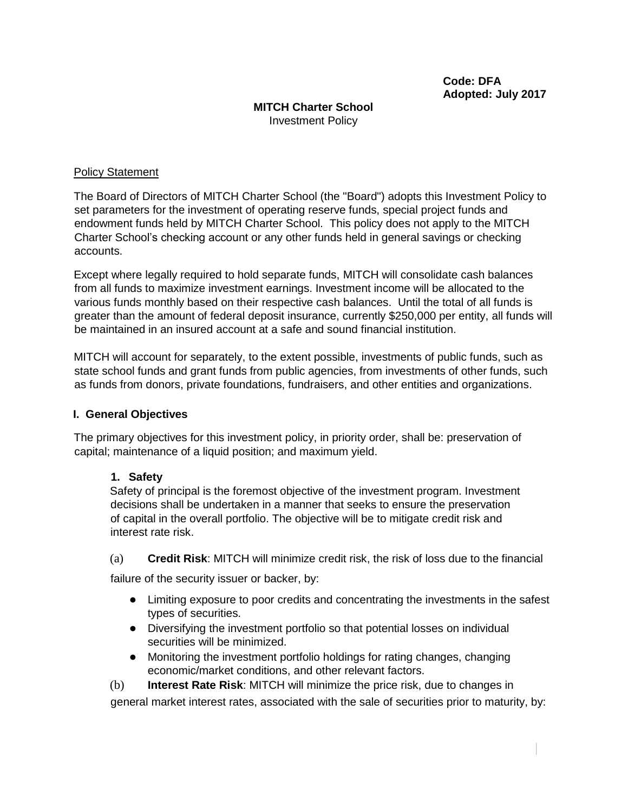### **MITCH Charter School** Investment Policy

### Policy Statement

The Board of Directors of MITCH Charter School (the "Board") adopts this Investment Policy to set parameters for the investment of operating reserve funds, special project funds and endowment funds held by MITCH Charter School. This policy does not apply to the MITCH Charter School's checking account or any other funds held in general savings or checking accounts.

Except where legally required to hold separate funds, MITCH will consolidate cash balances from all funds to maximize investment earnings. Investment income will be allocated to the various funds monthly based on their respective cash balances. Until the total of all funds is greater than the amount of federal deposit insurance, currently \$250,000 per entity, all funds will be maintained in an insured account at a safe and sound financial institution.

MITCH will account for separately, to the extent possible, investments of public funds, such as state school funds and grant funds from public agencies, from investments of other funds, such as funds from donors, private foundations, fundraisers, and other entities and organizations.

### **I. General Objectives**

The primary objectives for this investment policy, in priority order, shall be: preservation of capital; maintenance of a liquid position; and maximum yield.

### **1. Safety**

Safety of principal is the foremost objective of the investment program. Investment decisions shall be undertaken in a manner that seeks to ensure the preservation of capital in the overall portfolio. The objective will be to mitigate credit risk and interest rate risk.

(a) **Credit Risk**: MITCH will minimize credit risk, the risk of loss due to the financial

failure of the security issuer or backer, by:

- Limiting exposure to poor credits and concentrating the investments in the safest types of securities.
- Diversifying the investment portfolio so that potential losses on individual securities will be minimized.
- Monitoring the investment portfolio holdings for rating changes, changing economic/market conditions, and other relevant factors.

(b) **Interest Rate Risk**: MITCH will minimize the price risk, due to changes in general market interest rates, associated with the sale of securities prior to maturity, by: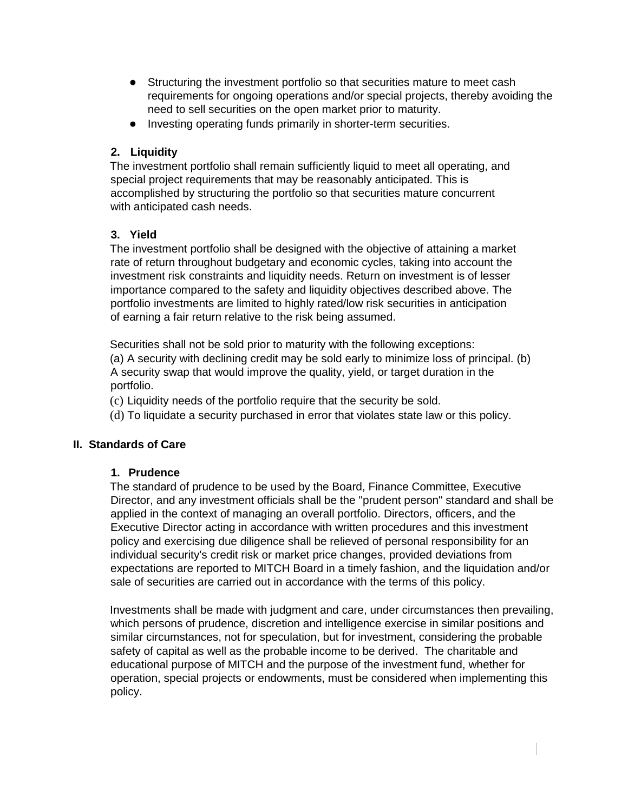- Structuring the investment portfolio so that securities mature to meet cash requirements for ongoing operations and/or special projects, thereby avoiding the need to sell securities on the open market prior to maturity.
- Investing operating funds primarily in shorter-term securities.

## **2. Liquidity**

The investment portfolio shall remain sufficiently liquid to meet all operating, and special project requirements that may be reasonably anticipated. This is accomplished by structuring the portfolio so that securities mature concurrent with anticipated cash needs.

### **3. Yield**

The investment portfolio shall be designed with the objective of attaining a market rate of return throughout budgetary and economic cycles, taking into account the investment risk constraints and liquidity needs. Return on investment is of lesser importance compared to the safety and liquidity objectives described above. The portfolio investments are limited to highly rated/low risk securities in anticipation of earning a fair return relative to the risk being assumed.

Securities shall not be sold prior to maturity with the following exceptions: (a) A security with declining credit may be sold early to minimize loss of principal. (b) A security swap that would improve the quality, yield, or target duration in the portfolio.

(c) Liquidity needs of the portfolio require that the security be sold.

(d) To liquidate a security purchased in error that violates state law or this policy.

### **II. Standards of Care**

### **1. Prudence**

The standard of prudence to be used by the Board, Finance Committee, Executive Director, and any investment officials shall be the "prudent person" standard and shall be applied in the context of managing an overall portfolio. Directors, officers, and the Executive Director acting in accordance with written procedures and this investment policy and exercising due diligence shall be relieved of personal responsibility for an individual security's credit risk or market price changes, provided deviations from expectations are reported to MITCH Board in a timely fashion, and the liquidation and/or sale of securities are carried out in accordance with the terms of this policy.

Investments shall be made with judgment and care, under circumstances then prevailing, which persons of prudence, discretion and intelligence exercise in similar positions and similar circumstances, not for speculation, but for investment, considering the probable safety of capital as well as the probable income to be derived. The charitable and educational purpose of MITCH and the purpose of the investment fund, whether for operation, special projects or endowments, must be considered when implementing this policy.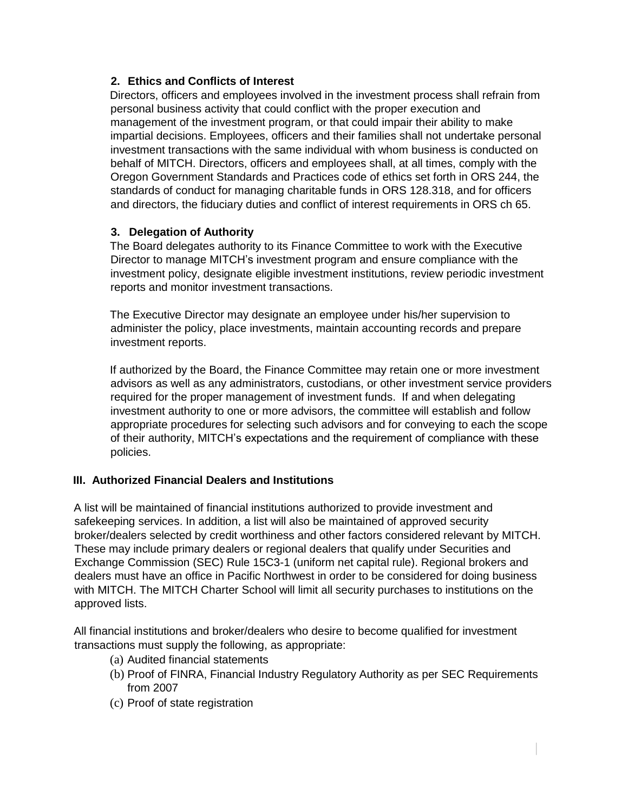## **2. Ethics and Conflicts of Interest**

Directors, officers and employees involved in the investment process shall refrain from personal business activity that could conflict with the proper execution and management of the investment program, or that could impair their ability to make impartial decisions. Employees, officers and their families shall not undertake personal investment transactions with the same individual with whom business is conducted on behalf of MITCH. Directors, officers and employees shall, at all times, comply with the Oregon Government Standards and Practices code of ethics set forth in ORS 244, the standards of conduct for managing charitable funds in ORS 128.318, and for officers and directors, the fiduciary duties and conflict of interest requirements in ORS ch 65.

### **3. Delegation of Authority**

The Board delegates authority to its Finance Committee to work with the Executive Director to manage MITCH's investment program and ensure compliance with the investment policy, designate eligible investment institutions, review periodic investment reports and monitor investment transactions.

The Executive Director may designate an employee under his/her supervision to administer the policy, place investments, maintain accounting records and prepare investment reports.

If authorized by the Board, the Finance Committee may retain one or more investment advisors as well as any administrators, custodians, or other investment service providers required for the proper management of investment funds. If and when delegating investment authority to one or more advisors, the committee will establish and follow appropriate procedures for selecting such advisors and for conveying to each the scope of their authority, MITCH's expectations and the requirement of compliance with these policies.

# **III. Authorized Financial Dealers and Institutions**

A list will be maintained of financial institutions authorized to provide investment and safekeeping services. In addition, a list will also be maintained of approved security broker/dealers selected by credit worthiness and other factors considered relevant by MITCH. These may include primary dealers or regional dealers that qualify under Securities and Exchange Commission (SEC) Rule 15C3-1 (uniform net capital rule). Regional brokers and dealers must have an office in Pacific Northwest in order to be considered for doing business with MITCH. The MITCH Charter School will limit all security purchases to institutions on the approved lists.

All financial institutions and broker/dealers who desire to become qualified for investment transactions must supply the following, as appropriate:

- (a) Audited financial statements
- (b) Proof of FINRA, Financial Industry Regulatory Authority as per SEC Requirements from 2007
- (c) Proof of state registration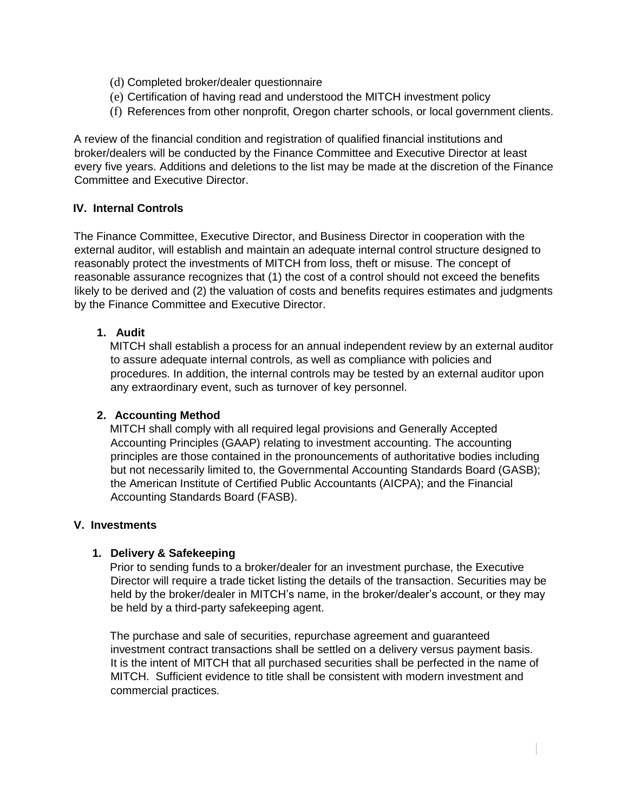- (d) Completed broker/dealer questionnaire
- (e) Certification of having read and understood the MITCH investment policy
- (f) References from other nonprofit, Oregon charter schools, or local government clients.

A review of the financial condition and registration of qualified financial institutions and broker/dealers will be conducted by the Finance Committee and Executive Director at least every five years. Additions and deletions to the list may be made at the discretion of the Finance Committee and Executive Director.

### **IV. Internal Controls**

The Finance Committee, Executive Director, and Business Director in cooperation with the external auditor, will establish and maintain an adequate internal control structure designed to reasonably protect the investments of MITCH from loss, theft or misuse. The concept of reasonable assurance recognizes that (1) the cost of a control should not exceed the benefits likely to be derived and (2) the valuation of costs and benefits requires estimates and judgments by the Finance Committee and Executive Director.

# **1. Audit**

MITCH shall establish a process for an annual independent review by an external auditor to assure adequate internal controls, as well as compliance with policies and procedures. In addition, the internal controls may be tested by an external auditor upon any extraordinary event, such as turnover of key personnel.

### **2. Accounting Method**

MITCH shall comply with all required legal provisions and Generally Accepted Accounting Principles (GAAP) relating to investment accounting. The accounting principles are those contained in the pronouncements of authoritative bodies including but not necessarily limited to, the Governmental Accounting Standards Board (GASB); the American Institute of Certified Public Accountants (AICPA); and the Financial Accounting Standards Board (FASB).

### **V. Investments**

### **1. Delivery & Safekeeping**

Prior to sending funds to a broker/dealer for an investment purchase, the Executive Director will require a trade ticket listing the details of the transaction. Securities may be held by the broker/dealer in MITCH's name, in the broker/dealer's account, or they may be held by a third-party safekeeping agent.

The purchase and sale of securities, repurchase agreement and guaranteed investment contract transactions shall be settled on a delivery versus payment basis. It is the intent of MITCH that all purchased securities shall be perfected in the name of MITCH. Sufficient evidence to title shall be consistent with modern investment and commercial practices.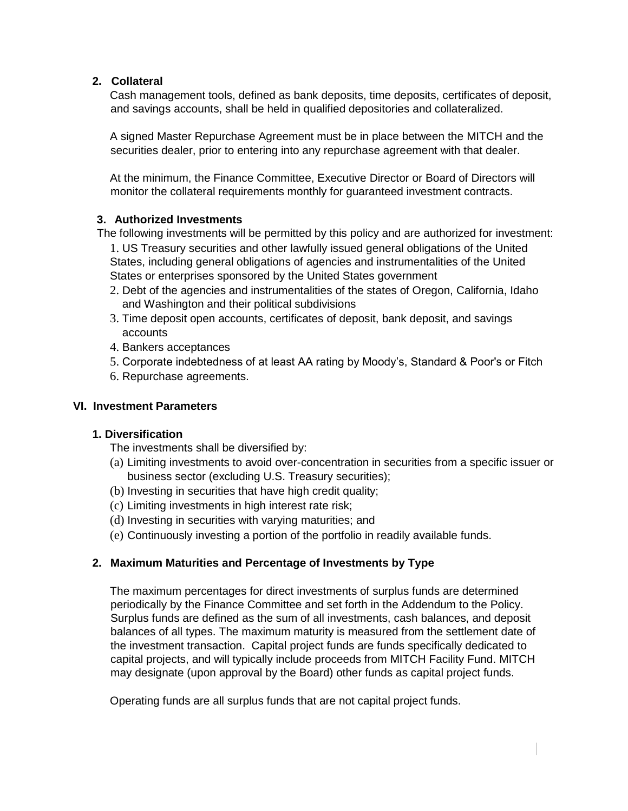## **2. Collateral**

Cash management tools, defined as bank deposits, time deposits, certificates of deposit, and savings accounts, shall be held in qualified depositories and collateralized.

A signed Master Repurchase Agreement must be in place between the MITCH and the securities dealer, prior to entering into any repurchase agreement with that dealer.

At the minimum, the Finance Committee, Executive Director or Board of Directors will monitor the collateral requirements monthly for guaranteed investment contracts.

### **3. Authorized Investments**

- The following investments will be permitted by this policy and are authorized for investment: 1. US Treasury securities and other lawfully issued general obligations of the United States, including general obligations of agencies and instrumentalities of the United States or enterprises sponsored by the United States government
	- 2. Debt of the agencies and instrumentalities of the states of Oregon, California, Idaho and Washington and their political subdivisions
	- 3. Time deposit open accounts, certificates of deposit, bank deposit, and savings accounts
	- 4. Bankers acceptances
	- 5. Corporate indebtedness of at least AA rating by Moody's, Standard & Poor's or Fitch
	- 6. Repurchase agreements.

### **VI. Investment Parameters**

### **1. Diversification**

The investments shall be diversified by:

- (a) Limiting investments to avoid over-concentration in securities from a specific issuer or business sector (excluding U.S. Treasury securities);
- (b) Investing in securities that have high credit quality;
- (c) Limiting investments in high interest rate risk;
- (d) Investing in securities with varying maturities; and
- (e) Continuously investing a portion of the portfolio in readily available funds.

# **2. Maximum Maturities and Percentage of Investments by Type**

The maximum percentages for direct investments of surplus funds are determined periodically by the Finance Committee and set forth in the Addendum to the Policy. Surplus funds are defined as the sum of all investments, cash balances, and deposit balances of all types. The maximum maturity is measured from the settlement date of the investment transaction. Capital project funds are funds specifically dedicated to capital projects, and will typically include proceeds from MITCH Facility Fund. MITCH may designate (upon approval by the Board) other funds as capital project funds.

Operating funds are all surplus funds that are not capital project funds.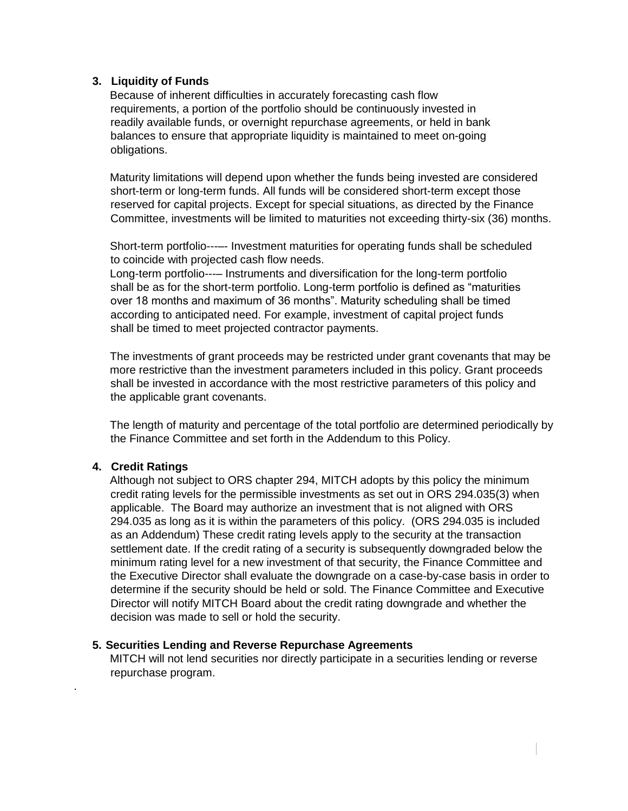### **3. Liquidity of Funds**

Because of inherent difficulties in accurately forecasting cash flow requirements, a portion of the portfolio should be continuously invested in readily available funds, or overnight repurchase agreements, or held in bank balances to ensure that appropriate liquidity is maintained to meet on-going obligations.

Maturity limitations will depend upon whether the funds being invested are considered short-term or long-term funds. All funds will be considered short-term except those reserved for capital projects. Except for special situations, as directed by the Finance Committee, investments will be limited to maturities not exceeding thirty-six (36) months.

Short-term portfolio---–- Investment maturities for operating funds shall be scheduled to coincide with projected cash flow needs.

Long-term portfolio---– Instruments and diversification for the long-term portfolio shall be as for the short-term portfolio. Long-term portfolio is defined as "maturities over 18 months and maximum of 36 months". Maturity scheduling shall be timed according to anticipated need. For example, investment of capital project funds shall be timed to meet projected contractor payments.

The investments of grant proceeds may be restricted under grant covenants that may be more restrictive than the investment parameters included in this policy. Grant proceeds shall be invested in accordance with the most restrictive parameters of this policy and the applicable grant covenants.

The length of maturity and percentage of the total portfolio are determined periodically by the Finance Committee and set forth in the Addendum to this Policy.

### **4. Credit Ratings**

.

Although not subject to ORS chapter 294, MITCH adopts by this policy the minimum credit rating levels for the permissible investments as set out in ORS 294.035(3) when applicable. The Board may authorize an investment that is not aligned with ORS 294.035 as long as it is within the parameters of this policy. (ORS 294.035 is included as an Addendum) These credit rating levels apply to the security at the transaction settlement date. If the credit rating of a security is subsequently downgraded below the minimum rating level for a new investment of that security, the Finance Committee and the Executive Director shall evaluate the downgrade on a case-by-case basis in order to determine if the security should be held or sold. The Finance Committee and Executive Director will notify MITCH Board about the credit rating downgrade and whether the decision was made to sell or hold the security.

#### **5. Securities Lending and Reverse Repurchase Agreements**

MITCH will not lend securities nor directly participate in a securities lending or reverse repurchase program.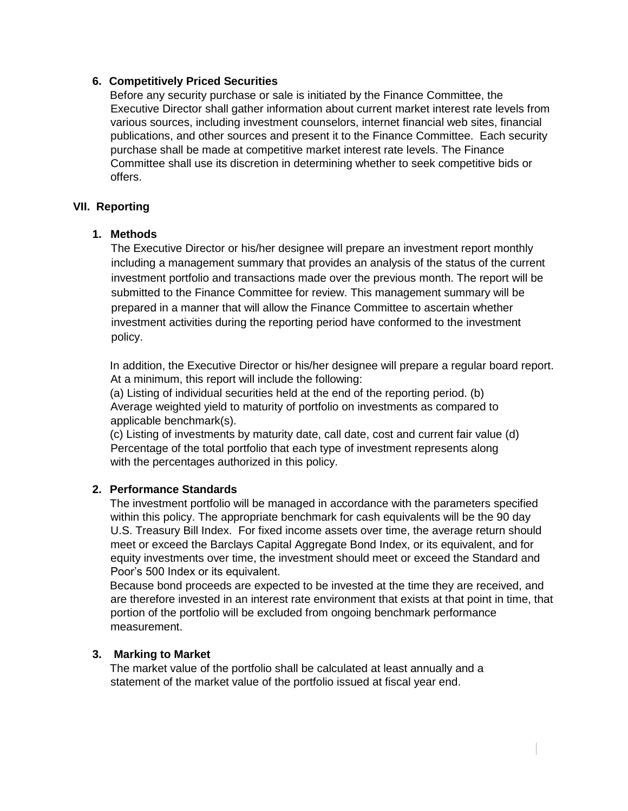### **6. Competitively Priced Securities**

Before any security purchase or sale is initiated by the Finance Committee, the Executive Director shall gather information about current market interest rate levels from various sources, including investment counselors, internet financial web sites, financial publications, and other sources and present it to the Finance Committee. Each security purchase shall be made at competitive market interest rate levels. The Finance Committee shall use its discretion in determining whether to seek competitive bids or offers.

#### **VII. Reporting**

#### **1. Methods**

The Executive Director or his/her designee will prepare an investment report monthly including a management summary that provides an analysis of the status of the current investment portfolio and transactions made over the previous month. The report will be submitted to the Finance Committee for review. This management summary will be prepared in a manner that will allow the Finance Committee to ascertain whether investment activities during the reporting period have conformed to the investment policy.

In addition, the Executive Director or his/her designee will prepare a regular board report. At a minimum, this report will include the following:

(a) Listing of individual securities held at the end of the reporting period. (b) Average weighted yield to maturity of portfolio on investments as compared to applicable benchmark(s).

(c) Listing of investments by maturity date, call date, cost and current fair value (d) Percentage of the total portfolio that each type of investment represents along with the percentages authorized in this policy.

#### **2. Performance Standards**

The investment portfolio will be managed in accordance with the parameters specified within this policy. The appropriate benchmark for cash equivalents will be the 90 day U.S. Treasury Bill Index. For fixed income assets over time, the average return should meet or exceed the Barclays Capital Aggregate Bond Index, or its equivalent, and for equity investments over time, the investment should meet or exceed the Standard and Poor's 500 Index or its equivalent.

Because bond proceeds are expected to be invested at the time they are received, and are therefore invested in an interest rate environment that exists at that point in time, that portion of the portfolio will be excluded from ongoing benchmark performance measurement.

#### **3. Marking to Market**

The market value of the portfolio shall be calculated at least annually and a statement of the market value of the portfolio issued at fiscal year end.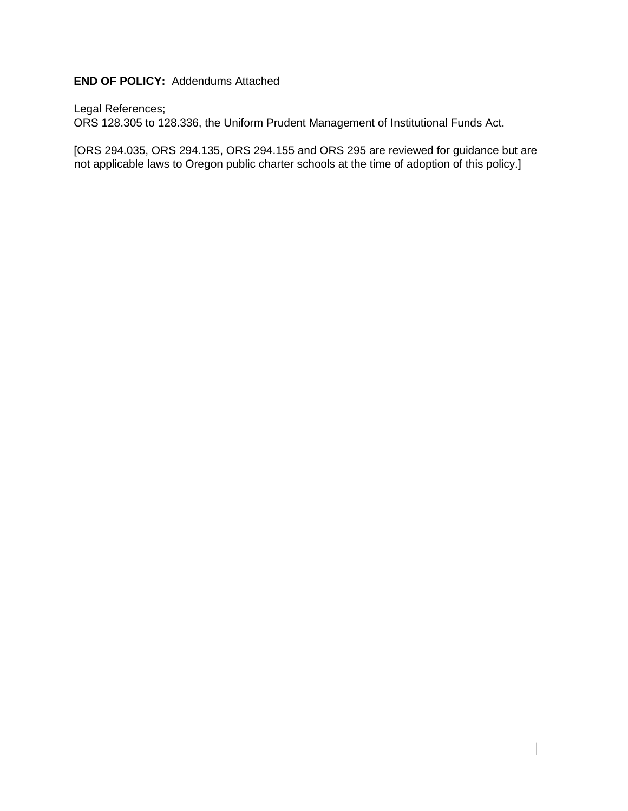# **END OF POLICY:** Addendums Attached

Legal References;

ORS 128.305 to 128.336, the Uniform Prudent Management of Institutional Funds Act.

[ORS 294.035, ORS 294.135, ORS 294.155 and ORS 295 are reviewed for guidance but are not applicable laws to Oregon public charter schools at the time of adoption of this policy.]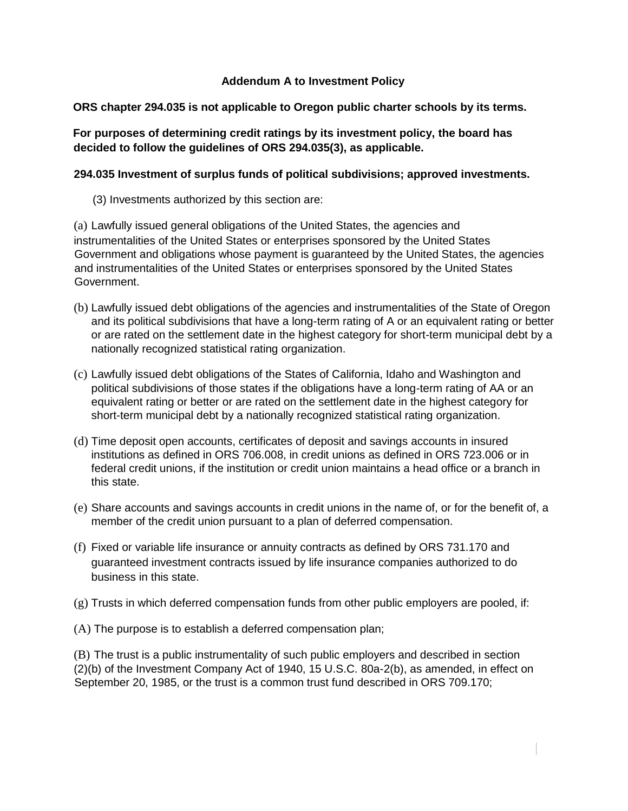### **Addendum A to Investment Policy**

### **ORS chapter 294.035 is not applicable to Oregon public charter schools by its terms.**

### **For purposes of determining credit ratings by its investment policy, the board has decided to follow the guidelines of ORS 294.035(3), as applicable.**

#### **294.035 Investment of surplus funds of political subdivisions; approved investments.**

(3) Investments authorized by this section are:

(a) Lawfully issued general obligations of the United States, the agencies and instrumentalities of the United States or enterprises sponsored by the United States Government and obligations whose payment is guaranteed by the United States, the agencies and instrumentalities of the United States or enterprises sponsored by the United States Government.

- (b) Lawfully issued debt obligations of the agencies and instrumentalities of the State of Oregon and its political subdivisions that have a long-term rating of A or an equivalent rating or better or are rated on the settlement date in the highest category for short-term municipal debt by a nationally recognized statistical rating organization.
- (c) Lawfully issued debt obligations of the States of California, Idaho and Washington and political subdivisions of those states if the obligations have a long-term rating of AA or an equivalent rating or better or are rated on the settlement date in the highest category for short-term municipal debt by a nationally recognized statistical rating organization.
- (d) Time deposit open accounts, certificates of deposit and savings accounts in insured institutions as defined in ORS 706.008, in credit unions as defined in ORS 723.006 or in federal credit unions, if the institution or credit union maintains a head office or a branch in this state.
- (e) Share accounts and savings accounts in credit unions in the name of, or for the benefit of, a member of the credit union pursuant to a plan of deferred compensation.
- (f) Fixed or variable life insurance or annuity contracts as defined by ORS 731.170 and guaranteed investment contracts issued by life insurance companies authorized to do business in this state.
- (g) Trusts in which deferred compensation funds from other public employers are pooled, if:
- (A) The purpose is to establish a deferred compensation plan;

(B) The trust is a public instrumentality of such public employers and described in section (2)(b) of the Investment Company Act of 1940, 15 U.S.C. 80a-2(b), as amended, in effect on September 20, 1985, or the trust is a common trust fund described in ORS 709.170;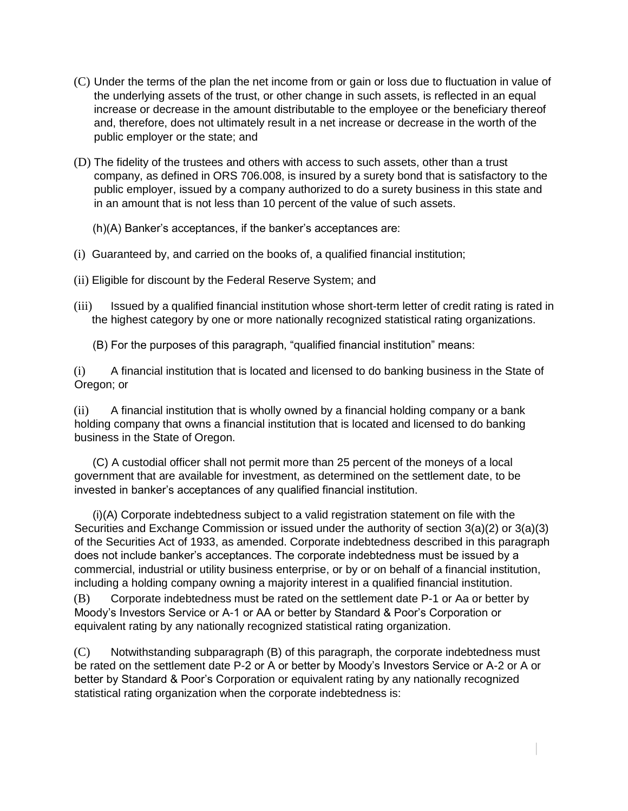- (C) Under the terms of the plan the net income from or gain or loss due to fluctuation in value of the underlying assets of the trust, or other change in such assets, is reflected in an equal increase or decrease in the amount distributable to the employee or the beneficiary thereof and, therefore, does not ultimately result in a net increase or decrease in the worth of the public employer or the state; and
- (D) The fidelity of the trustees and others with access to such assets, other than a trust company, as defined in ORS 706.008, is insured by a surety bond that is satisfactory to the public employer, issued by a company authorized to do a surety business in this state and in an amount that is not less than 10 percent of the value of such assets.
	- (h)(A) Banker's acceptances, if the banker's acceptances are:
- (i) Guaranteed by, and carried on the books of, a qualified financial institution;
- (ii) Eligible for discount by the Federal Reserve System; and
- (iii) Issued by a qualified financial institution whose short-term letter of credit rating is rated in the highest category by one or more nationally recognized statistical rating organizations.
	- (B) For the purposes of this paragraph, "qualified financial institution" means:

(i) A financial institution that is located and licensed to do banking business in the State of Oregon; or

(ii) A financial institution that is wholly owned by a financial holding company or a bank holding company that owns a financial institution that is located and licensed to do banking business in the State of Oregon.

 (C) A custodial officer shall not permit more than 25 percent of the moneys of a local government that are available for investment, as determined on the settlement date, to be invested in banker's acceptances of any qualified financial institution.

 (i)(A) Corporate indebtedness subject to a valid registration statement on file with the Securities and Exchange Commission or issued under the authority of section 3(a)(2) or 3(a)(3) of the Securities Act of 1933, as amended. Corporate indebtedness described in this paragraph does not include banker's acceptances. The corporate indebtedness must be issued by a commercial, industrial or utility business enterprise, or by or on behalf of a financial institution, including a holding company owning a majority interest in a qualified financial institution.

(B) Corporate indebtedness must be rated on the settlement date P-1 or Aa or better by Moody's Investors Service or A-1 or AA or better by Standard & Poor's Corporation or equivalent rating by any nationally recognized statistical rating organization.

(C) Notwithstanding subparagraph (B) of this paragraph, the corporate indebtedness must be rated on the settlement date P-2 or A or better by Moody's Investors Service or A-2 or A or better by Standard & Poor's Corporation or equivalent rating by any nationally recognized statistical rating organization when the corporate indebtedness is: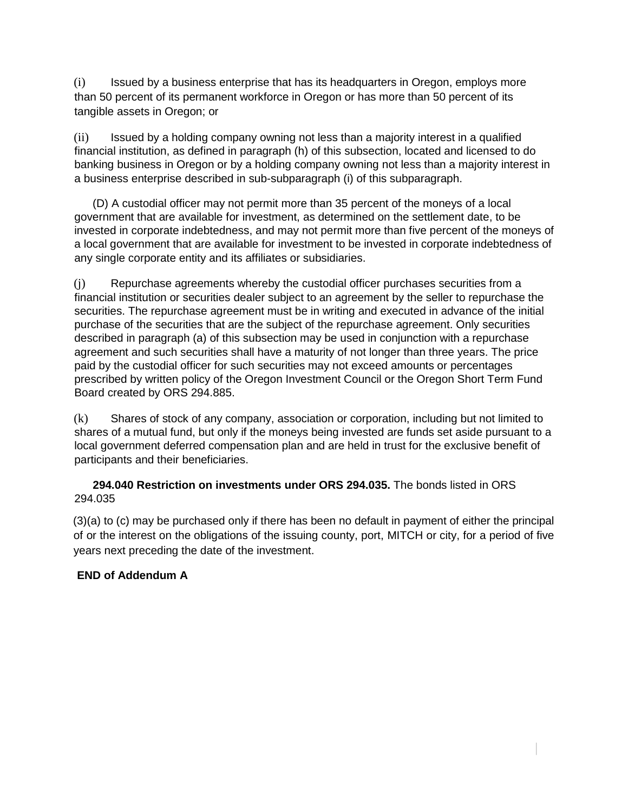(i) Issued by a business enterprise that has its headquarters in Oregon, employs more than 50 percent of its permanent workforce in Oregon or has more than 50 percent of its tangible assets in Oregon; or

(ii) Issued by a holding company owning not less than a majority interest in a qualified financial institution, as defined in paragraph (h) of this subsection, located and licensed to do banking business in Oregon or by a holding company owning not less than a majority interest in a business enterprise described in sub-subparagraph (i) of this subparagraph.

 (D) A custodial officer may not permit more than 35 percent of the moneys of a local government that are available for investment, as determined on the settlement date, to be invested in corporate indebtedness, and may not permit more than five percent of the moneys of a local government that are available for investment to be invested in corporate indebtedness of any single corporate entity and its affiliates or subsidiaries.

(j) Repurchase agreements whereby the custodial officer purchases securities from a financial institution or securities dealer subject to an agreement by the seller to repurchase the securities. The repurchase agreement must be in writing and executed in advance of the initial purchase of the securities that are the subject of the repurchase agreement. Only securities described in paragraph (a) of this subsection may be used in conjunction with a repurchase agreement and such securities shall have a maturity of not longer than three years. The price paid by the custodial officer for such securities may not exceed amounts or percentages prescribed by written policy of the Oregon Investment Council or the Oregon Short Term Fund Board created by ORS 294.885.

(k) Shares of stock of any company, association or corporation, including but not limited to shares of a mutual fund, but only if the moneys being invested are funds set aside pursuant to a local government deferred compensation plan and are held in trust for the exclusive benefit of participants and their beneficiaries.

### **294.040 Restriction on investments under ORS 294.035.** The bonds listed in ORS 294.035

(3)(a) to (c) may be purchased only if there has been no default in payment of either the principal of or the interest on the obligations of the issuing county, port, MITCH or city, for a period of five years next preceding the date of the investment.

# **END of Addendum A**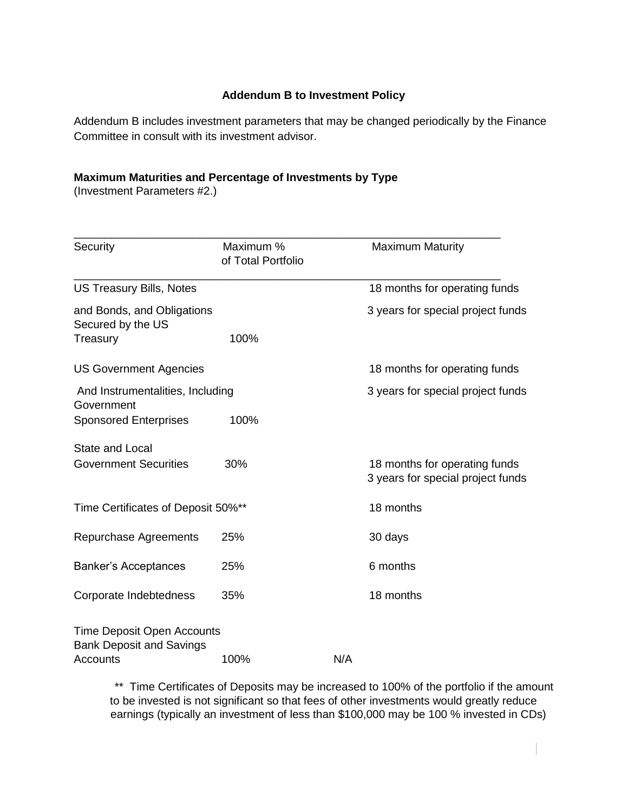# **Addendum B to Investment Policy**

Addendum B includes investment parameters that may be changed periodically by the Finance Committee in consult with its investment advisor.

## **Maximum Maturities and Percentage of Investments by Type**

(Investment Parameters #2.)

| Security                                                                  | Maximum %<br>of Total Portfolio | <b>Maximum Maturity</b>                                            |
|---------------------------------------------------------------------------|---------------------------------|--------------------------------------------------------------------|
| <b>US Treasury Bills, Notes</b>                                           |                                 | 18 months for operating funds                                      |
| and Bonds, and Obligations<br>Secured by the US<br>Treasury               | 100%                            | 3 years for special project funds                                  |
| <b>US Government Agencies</b>                                             |                                 | 18 months for operating funds                                      |
| And Instrumentalities, Including<br>Government                            |                                 | 3 years for special project funds                                  |
| <b>Sponsored Enterprises</b>                                              | 100%                            |                                                                    |
| <b>State and Local</b><br><b>Government Securities</b>                    | 30%                             | 18 months for operating funds<br>3 years for special project funds |
| Time Certificates of Deposit 50%**                                        |                                 | 18 months                                                          |
| Repurchase Agreements                                                     | 25%                             | 30 days                                                            |
| <b>Banker's Acceptances</b>                                               | 25%                             | 6 months                                                           |
| Corporate Indebtedness                                                    | 35%                             | 18 months                                                          |
| Time Deposit Open Accounts<br><b>Bank Deposit and Savings</b><br>Accounts | 100%                            | N/A                                                                |

\*\* Time Certificates of Deposits may be increased to 100% of the portfolio if the amount to be invested is not significant so that fees of other investments would greatly reduce earnings (typically an investment of less than \$100,000 may be 100 % invested in CDs)